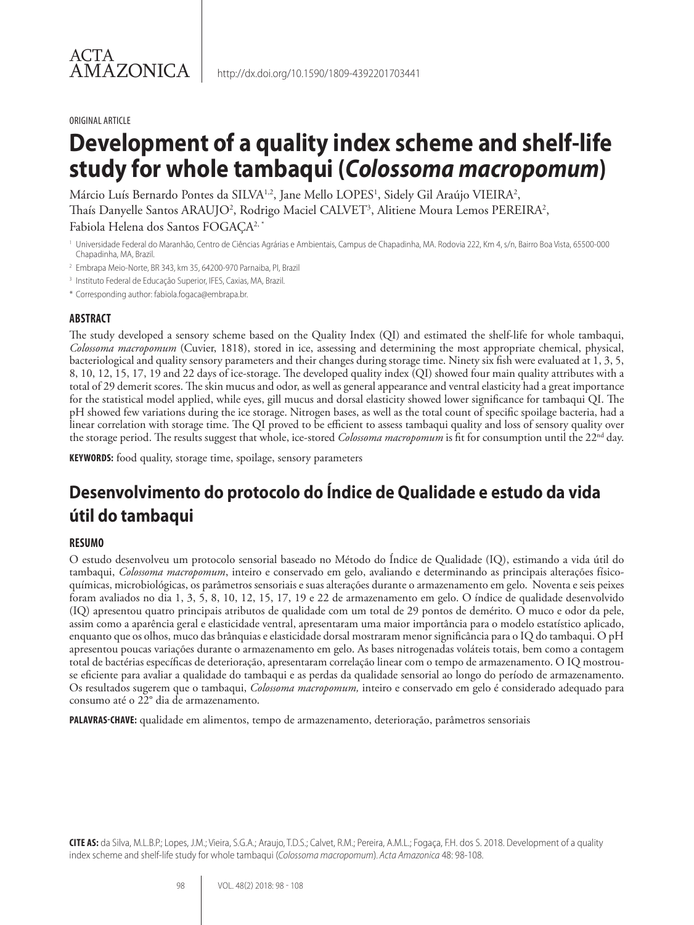#### ORIGINAL ARTICLE

# **Development of a quality index scheme and shelf-life study for whole tambaqui (***Colossoma macropomum***)**

Márcio Luís Bernardo Pontes da SILVA½, Jane Mello LOPES½, Sidely Gil Araújo VIEIRA²,

Thaís Danyelle Santos ARAUJO<sup>2</sup>, Rodrigo Maciel CALVET<sup>3</sup>, Alitiene Moura Lemos PEREIRA<sup>2</sup>,

Fabiola Helena dos Santos FOGAÇA<sup>2,\*</sup>

<sup>1</sup> Universidade Federal do Maranhão, Centro de Ciências Agrárias e Ambientais, Campus de Chapadinha, MA. Rodovia 222, Km 4, s/n, Bairro Boa Vista, 65500-000 Chapadinha, MA, Brazil.

- <sup>2</sup> Embrapa Meio-Norte, BR 343, km 35, 64200-970 Parnaiba, PI, Brazil
- <sup>3</sup> Instituto Federal de Educação Superior, IFES, Caxias, MA, Brazil.

\* Corresponding author: fabiola.fogaca@embrapa.br.

#### **ABSTRACT**

The study developed a sensory scheme based on the Quality Index (QI) and estimated the shelf-life for whole tambaqui, *Colossoma macropomum* (Cuvier, 1818), stored in ice, assessing and determining the most appropriate chemical, physical, bacteriological and quality sensory parameters and their changes during storage time. Ninety six fish were evaluated at 1, 3, 5, 8, 10, 12, 15, 17, 19 and 22 days of ice-storage. The developed quality index (QI) showed four main quality attributes with a total of 29 demerit scores. The skin mucus and odor, as well as general appearance and ventral elasticity had a great importance for the statistical model applied, while eyes, gill mucus and dorsal elasticity showed lower significance for tambaqui QI. The pH showed few variations during the ice storage. Nitrogen bases, as well as the total count of specific spoilage bacteria, had a linear correlation with storage time. The QI proved to be efficient to assess tambaqui quality and loss of sensory quality over the storage period. The results suggest that whole, ice-stored *Colossoma macropomum* is fit for consumption until the 22<sup>nd</sup> day.

**KEYWORDS:** food quality, storage time, spoilage, sensory parameters

# **Desenvolvimento do protocolo do Índice de Qualidade e estudo da vida útil do tambaqui**

#### **RESUMO**

O estudo desenvolveu um protocolo sensorial baseado no Método do Índice de Qualidade (IQ), estimando a vida útil do tambaqui, *Colossoma macropomum*, inteiro e conservado em gelo, avaliando e determinando as principais alterações físicoquímicas, microbiológicas, os parâmetros sensoriais e suas alterações durante o armazenamento em gelo. Noventa e seis peixes foram avaliados no dia 1, 3, 5, 8, 10, 12, 15, 17, 19 e 22 de armazenamento em gelo. O índice de qualidade desenvolvido (IQ) apresentou quatro principais atributos de qualidade com um total de 29 pontos de demérito. O muco e odor da pele, assim como a aparência geral e elasticidade ventral, apresentaram uma maior importância para o modelo estatístico aplicado, enquanto que os olhos, muco das brânquias e elasticidade dorsal mostraram menor significância para o IQ do tambaqui. O pH apresentou poucas variações durante o armazenamento em gelo. As bases nitrogenadas voláteis totais, bem como a contagem total de bactérias específicas de deterioração, apresentaram correlação linear com o tempo de armazenamento. O IQ mostrouse eficiente para avaliar a qualidade do tambaqui e as perdas da qualidade sensorial ao longo do período de armazenamento. Os resultados sugerem que o tambaqui, *Colossoma macropomum,* inteiro e conservado em gelo é considerado adequado para consumo até o 22° dia de armazenamento.

**PALAVRAS-CHAVE:** qualidade em alimentos, tempo de armazenamento, deterioração, parâmetros sensoriais

**CITE AS:** da Silva, M.L.B.P.; Lopes, J.M.; Vieira, S.G.A.; Araujo, T.D.S.; Calvet, R.M.; Pereira, A.M.L.; Fogaça, F.H. dos S. 2018. Development of a quality index scheme and shelf-life study for whole tambaqui (*Colossoma macropomum*). *Acta Amazonica* 48: 98-108.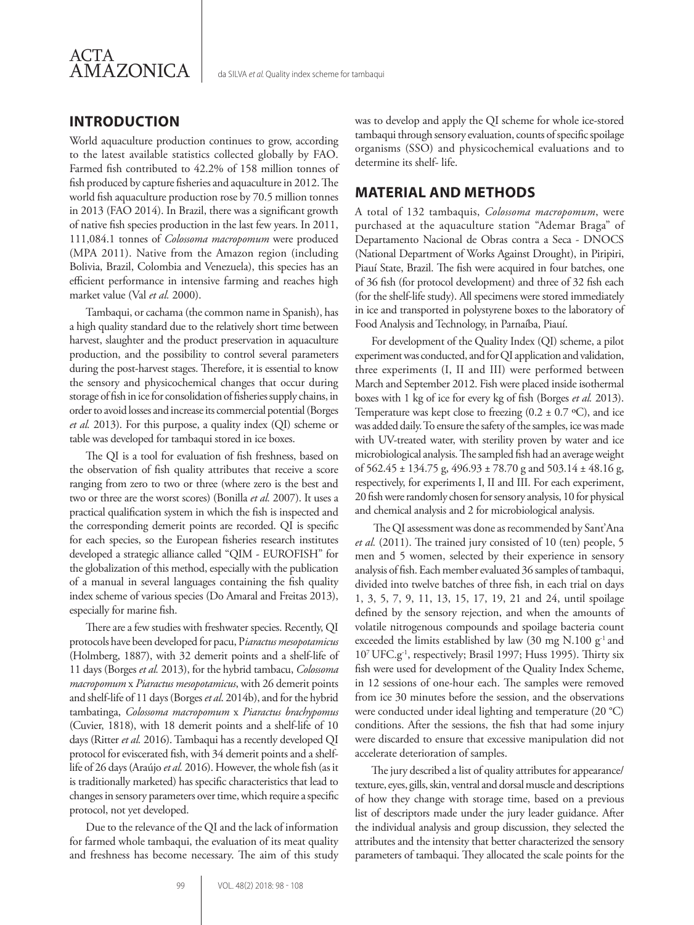

### **INTRODUCTION**

World aquaculture production continues to grow, according to the latest available statistics collected globally by FAO. Farmed fish contributed to 42.2% of 158 million tonnes of fish produced by capture fisheries and aquaculture in 2012. The world fish aquaculture production rose by 70.5 million tonnes in 2013 (FAO 2014). In Brazil, there was a significant growth of native fish species production in the last few years. In 2011, 111,084.1 tonnes of *Colossoma macropomum* were produced (MPA 2011). Native from the Amazon region (including Bolivia, Brazil, Colombia and Venezuela), this species has an efficient performance in intensive farming and reaches high market value (Val *et al.* 2000).

Tambaqui, or cachama (the common name in Spanish), has a high quality standard due to the relatively short time between harvest, slaughter and the product preservation in aquaculture production, and the possibility to control several parameters during the post-harvest stages. Therefore, it is essential to know the sensory and physicochemical changes that occur during storage of fish in ice for consolidation of fisheries supply chains, in order to avoid losses and increase its commercial potential (Borges *et al.* 2013). For this purpose, a quality index (QI) scheme or table was developed for tambaqui stored in ice boxes.

The QI is a tool for evaluation of fish freshness, based on the observation of fish quality attributes that receive a score ranging from zero to two or three (where zero is the best and two or three are the worst scores) (Bonilla *et al.* 2007). It uses a practical qualification system in which the fish is inspected and the corresponding demerit points are recorded. QI is specific for each species, so the European fisheries research institutes developed a strategic alliance called "QIM - EUROFISH" for the globalization of this method, especially with the publication of a manual in several languages containing the fish quality index scheme of various species (Do Amaral and Freitas 2013), especially for marine fish.

There are a few studies with freshwater species. Recently, QI protocols have been developed for pacu, P*iaractus mesopotamicus* (Holmberg, 1887), with 32 demerit points and a shelf-life of 11 days (Borges *et al.* 2013), for the hybrid tambacu, *Colossoma macropomum* x *Piaractus mesopotamicus*, with 26 demerit points and shelf-life of 11 days (Borges *et al*. 2014b), and for the hybrid tambatinga, *Colossoma macropomum* x *Piaractus brachypomus* (Cuvier, 1818), with 18 demerit points and a shelf-life of 10 days (Ritter *et al.* 2016). Tambaqui has a recently developed QI protocol for eviscerated fish, with 34 demerit points and a shelflife of 26 days (Araújo *et al.* 2016). However, the whole fish (as it is traditionally marketed) has specific characteristics that lead to changes in sensory parameters over time, which require a specific protocol, not yet developed.

Due to the relevance of the QI and the lack of information for farmed whole tambaqui, the evaluation of its meat quality and freshness has become necessary. The aim of this study was to develop and apply the QI scheme for whole ice-stored tambaqui through sensory evaluation, counts of specific spoilage organisms (SSO) and physicochemical evaluations and to determine its shelf- life.

#### **MATERIAL AND METHODS**

A total of 132 tambaquis, *Colossoma macropomum*, were purchased at the aquaculture station "Ademar Braga" of Departamento Nacional de Obras contra a Seca - DNOCS (National Department of Works Against Drought), in Piripiri, Piauí State, Brazil. The fish were acquired in four batches, one of 36 fish (for protocol development) and three of 32 fish each (for the shelf-life study). All specimens were stored immediately in ice and transported in polystyrene boxes to the laboratory of Food Analysis and Technology, in Parnaíba, Piauí.

For development of the Quality Index (QI) scheme, a pilot experiment was conducted, and for QI application and validation, three experiments (I, II and III) were performed between March and September 2012. Fish were placed inside isothermal boxes with 1 kg of ice for every kg of fish (Borges *et al.* 2013). Temperature was kept close to freezing  $(0.2 \pm 0.7 \degree C)$ , and ice was added daily. To ensure the safety of the samples, ice was made with UV-treated water, with sterility proven by water and ice microbiological analysis. The sampled fish had an average weight of 562.45 ± 134.75 g, 496.93 ± 78.70 g and 503.14 ± 48.16 g, respectively, for experiments I, II and III. For each experiment, 20 fish were randomly chosen for sensory analysis, 10 for physical and chemical analysis and 2 for microbiological analysis.

 The QI assessment was done as recommended by Sant'Ana *et al.* (2011). The trained jury consisted of 10 (ten) people, 5 men and 5 women, selected by their experience in sensory analysis of fish. Each member evaluated 36 samples of tambaqui, divided into twelve batches of three fish, in each trial on days 1, 3, 5, 7, 9, 11, 13, 15, 17, 19, 21 and 24, until spoilage defined by the sensory rejection, and when the amounts of volatile nitrogenous compounds and spoilage bacteria count exceeded the limits established by law (30 mg N.100  $g^{-1}$  and 107 UFC.g-1, respectively; Brasil 1997; Huss 1995). Thirty six fish were used for development of the Quality Index Scheme, in 12 sessions of one-hour each. The samples were removed from ice 30 minutes before the session, and the observations were conducted under ideal lighting and temperature (20 °C) conditions. After the sessions, the fish that had some injury were discarded to ensure that excessive manipulation did not accelerate deterioration of samples.

The jury described a list of quality attributes for appearance/ texture, eyes, gills, skin, ventral and dorsal muscle and descriptions of how they change with storage time, based on a previous list of descriptors made under the jury leader guidance. After the individual analysis and group discussion, they selected the attributes and the intensity that better characterized the sensory parameters of tambaqui. They allocated the scale points for the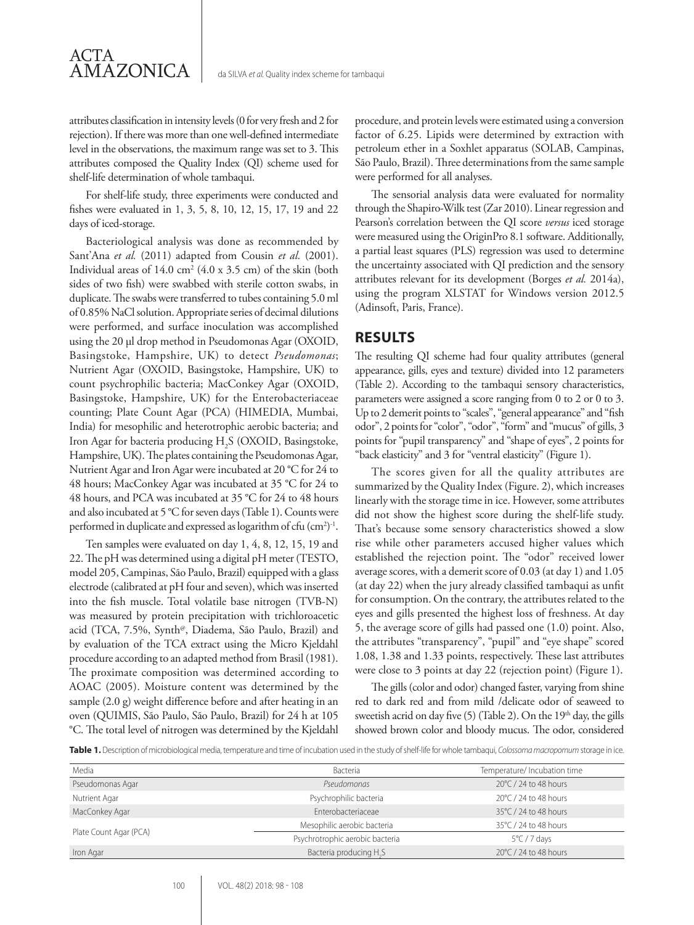attributes classification in intensity levels (0 for very fresh and 2 for rejection). If there was more than one well-defined intermediate level in the observations, the maximum range was set to 3. This attributes composed the Quality Index (QI) scheme used for shelf-life determination of whole tambaqui.

For shelf-life study, three experiments were conducted and fishes were evaluated in 1, 3, 5, 8, 10, 12, 15, 17, 19 and 22 days of iced-storage.

Bacteriological analysis was done as recommended by Sant'Ana *et al.* (2011) adapted from Cousin *et al.* (2001). Individual areas of  $14.0 \text{ cm}^2 (4.0 \text{ x } 3.5 \text{ cm})$  of the skin (both sides of two fish) were swabbed with sterile cotton swabs, in duplicate. The swabs were transferred to tubes containing 5.0 ml of 0.85% NaCl solution. Appropriate series of decimal dilutions were performed, and surface inoculation was accomplished using the 20 µl drop method in Pseudomonas Agar (OXOID, Basingstoke, Hampshire, UK) to detect *Pseudomonas*; Nutrient Agar (OXOID, Basingstoke, Hampshire, UK) to count psychrophilic bacteria; MacConkey Agar (OXOID, Basingstoke, Hampshire, UK) for the Enterobacteriaceae counting; Plate Count Agar (PCA) (HIMEDIA, Mumbai, India) for mesophilic and heterotrophic aerobic bacteria; and Iron Agar for bacteria producing H<sub>2</sub>S (OXOID, Basingstoke, Hampshire, UK). The plates containing the Pseudomonas Agar, Nutrient Agar and Iron Agar were incubated at 20 °C for 24 to 48 hours; MacConkey Agar was incubated at 35 °C for 24 to 48 hours, and PCA was incubated at 35 °C for 24 to 48 hours and also incubated at 5 °C for seven days (Table 1). Counts were performed in duplicate and expressed as logarithm of cfu (cm<sup>2</sup>)<sup>-1</sup>.

Ten samples were evaluated on day 1, 4, 8, 12, 15, 19 and 22. The pH was determined using a digital pH meter (TESTO, model 205, Campinas, São Paulo, Brazil) equipped with a glass electrode (calibrated at pH four and seven), which was inserted into the fish muscle. Total volatile base nitrogen (TVB-N) was measured by protein precipitation with trichloroacetic acid (TCA, 7.5%, Synth<sup>@</sup>, Diadema, São Paulo, Brazil) and by evaluation of the TCA extract using the Micro Kjeldahl procedure according to an adapted method from Brasil (1981). The proximate composition was determined according to AOAC (2005). Moisture content was determined by the sample (2.0 g) weight difference before and after heating in an oven (QUIMIS, São Paulo, São Paulo, Brazil) for 24 h at 105 °C. The total level of nitrogen was determined by the Kjeldahl procedure, and protein levels were estimated using a conversion factor of 6.25. Lipids were determined by extraction with petroleum ether in a Soxhlet apparatus (SOLAB, Campinas, São Paulo, Brazil). Three determinations from the same sample were performed for all analyses.

The sensorial analysis data were evaluated for normality through the Shapiro-Wilk test (Zar 2010). Linear regression and Pearson's correlation between the QI score *versus* iced storage were measured using the OriginPro 8.1 software. Additionally, a partial least squares (PLS) regression was used to determine the uncertainty associated with QI prediction and the sensory attributes relevant for its development (Borges *et al.* 2014a), using the program XLSTAT for Windows version 2012.5 (Adinsoft, Paris, France).

#### **RESULTS**

The resulting QI scheme had four quality attributes (general appearance, gills, eyes and texture) divided into 12 parameters (Table 2). According to the tambaqui sensory characteristics, parameters were assigned a score ranging from 0 to 2 or 0 to 3. Up to 2 demerit points to "scales", "general appearance" and "fish odor", 2 points for "color", "odor", "form" and "mucus" of gills, 3 points for "pupil transparency" and "shape of eyes", 2 points for "back elasticity" and 3 for "ventral elasticity" (Figure 1).

The scores given for all the quality attributes are summarized by the Quality Index (Figure. 2), which increases linearly with the storage time in ice. However, some attributes did not show the highest score during the shelf-life study. That's because some sensory characteristics showed a slow rise while other parameters accused higher values which established the rejection point. The "odor" received lower average scores, with a demerit score of 0.03 (at day 1) and 1.05 (at day 22) when the jury already classified tambaqui as unfit for consumption. On the contrary, the attributes related to the eyes and gills presented the highest loss of freshness. At day 5, the average score of gills had passed one (1.0) point. Also, the attributes "transparency", "pupil" and "eye shape" scored 1.08, 1.38 and 1.33 points, respectively. These last attributes were close to 3 points at day 22 (rejection point) (Figure 1).

The gills (color and odor) changed faster, varying from shine red to dark red and from mild /delicate odor of seaweed to sweetish acrid on day five  $(5)$  (Table 2). On the 19<sup>th</sup> day, the gills showed brown color and bloody mucus. The odor, considered

**Table 1.** Description of microbiological media, temperature and time of incubation used in the study of shelf-life for whole tambaqui, *Colossoma macropomum* storage in ice.

| Media                  | Bacteria                            | Temperature/ Incubation time    |  |
|------------------------|-------------------------------------|---------------------------------|--|
| Pseudomonas Agar       | Pseudomonas                         | 20°C / 24 to 48 hours           |  |
| Nutrient Agar          | Psychrophilic bacteria              | $20^{\circ}$ C / 24 to 48 hours |  |
| MacConkey Agar         | Enterobacteriaceae                  | 35°C / 24 to 48 hours           |  |
| Plate Count Agar (PCA) | Mesophilic aerobic bacteria         | 35°C / 24 to 48 hours           |  |
|                        | Psychrotrophic aerobic bacteria     | $5^{\circ}$ C / 7 days          |  |
| Iron Agar              | Bacteria producing H <sub>2</sub> S | 20°C / 24 to 48 hours           |  |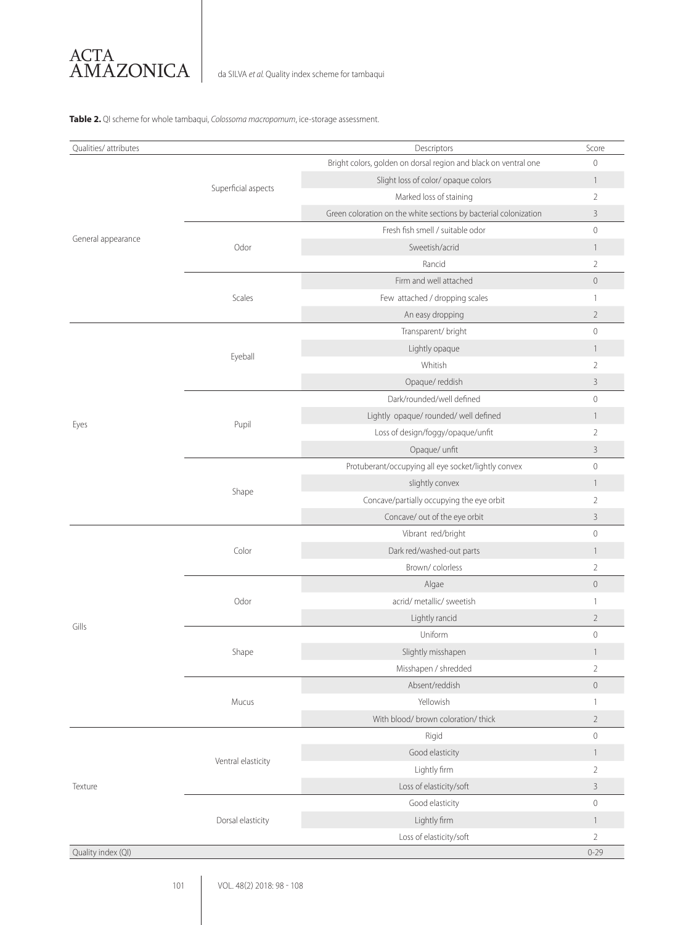

da SILVA *et al.* Quality index scheme for tambaqui

#### **Table 2.** QI scheme for whole tambaqui, *Colossoma macropomum*, ice-storage assessment.

| Qualities/ attributes |                     | Descriptors                                                      | Score                    |
|-----------------------|---------------------|------------------------------------------------------------------|--------------------------|
| General appearance    |                     | Bright colors, golden on dorsal region and black on ventral one  | $\mathbf{0}$             |
|                       |                     | Slight loss of color/ opaque colors                              | $\mathbf{1}$             |
|                       | Superficial aspects | Marked loss of staining                                          | $\overline{2}$           |
|                       |                     | Green coloration on the white sections by bacterial colonization | $\mathcal{E}$            |
|                       |                     | Fresh fish smell / suitable odor                                 | $\mathbf{0}$             |
|                       | Odor                | Sweetish/acrid                                                   | $\overline{\phantom{a}}$ |
|                       |                     | Rancid                                                           | $\overline{2}$           |
|                       | Scales              | Firm and well attached                                           | $\circ$                  |
|                       |                     | Few attached / dropping scales                                   | 1                        |
|                       |                     | An easy dropping                                                 | $\overline{2}$           |
|                       | Eyeball             | Transparent/ bright                                              | $\mathbf{0}$             |
|                       |                     | Lightly opaque                                                   | $\mathbf{1}$             |
|                       |                     | Whitish                                                          | $\overline{2}$           |
|                       |                     | Opaque/reddish                                                   | 3                        |
|                       | Pupil               | Dark/rounded/well defined                                        | $\mathbf{0}$             |
|                       |                     | Lightly opaque/ rounded/ well defined                            | $\mathbf{1}$             |
| Eyes                  |                     | Loss of design/foggy/opaque/unfit                                | $\overline{2}$           |
|                       |                     | Opaque/ unfit                                                    | 3                        |
|                       | Shape               | Protuberant/occupying all eye socket/lightly convex              | $\mathbf{0}$             |
|                       |                     | slightly convex                                                  | $\mathbf{1}$             |
|                       |                     | Concave/partially occupying the eye orbit                        | $\overline{2}$           |
|                       |                     | Concave/ out of the eye orbit                                    | 3                        |
|                       | Color               | Vibrant red/bright                                               | $\mathbf 0$              |
|                       |                     | Dark red/washed-out parts                                        | $\mathbf{1}$             |
|                       |                     | Brown/colorless                                                  | $\overline{2}$           |
|                       |                     | Algae                                                            | $\mathbb O$              |
|                       | Odor                | acrid/ metallic/ sweetish                                        | $\overline{1}$           |
| Gills                 |                     | Lightly rancid                                                   | $\overline{2}$           |
|                       |                     | Uniform                                                          | $\mathbf{0}$             |
|                       | Shape               | Slightly misshapen                                               | 1                        |
|                       |                     | Misshapen / shredded                                             | $\overline{2}$           |
|                       |                     | Absent/reddish                                                   | $\mathbf 0$              |
|                       | Mucus               | Yellowish                                                        | $\mathbf{1}$             |
|                       |                     | With blood/ brown coloration/ thick                              | $\overline{2}$           |
|                       | Ventral elasticity  | Rigid                                                            | $\mathbf 0$              |
| Texture               |                     | Good elasticity                                                  | $\mathbf{1}$             |
|                       |                     | Lightly firm                                                     | $\overline{2}$           |
|                       |                     | Loss of elasticity/soft                                          | $\mathcal{E}$            |
|                       |                     | Good elasticity                                                  | $\mathbf 0$              |
|                       | Dorsal elasticity   | Lightly firm                                                     | $\mathbf{1}$             |
|                       |                     | Loss of elasticity/soft                                          | $\overline{2}$           |
| Quality index (QI)    |                     |                                                                  | $0 - 29$                 |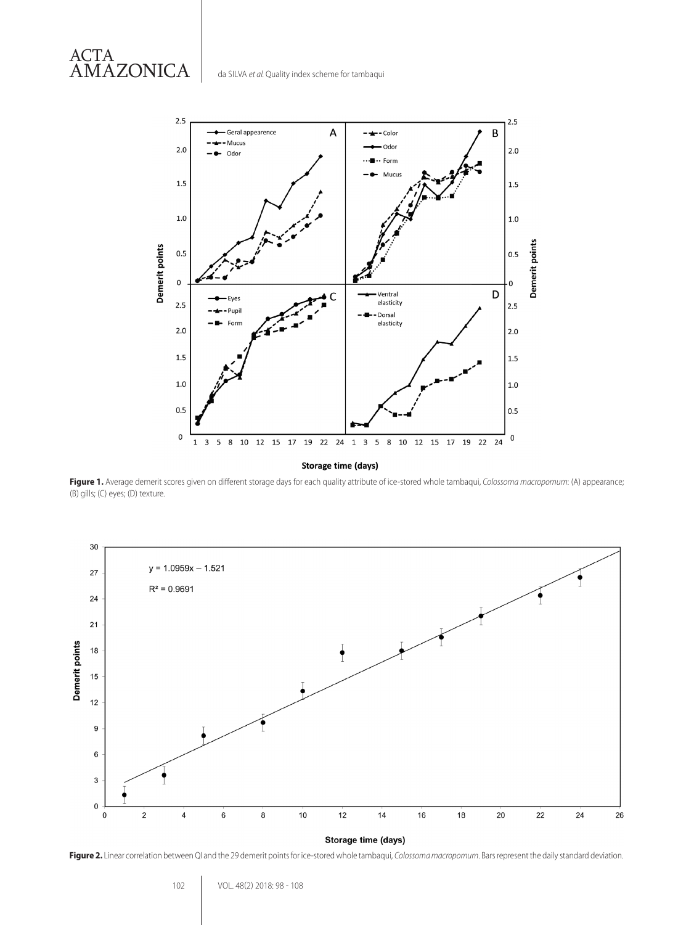ACTA AMAZONICA



Storage time (days)

**Figure 1.** Average demerit scores given on different storage days for each quality attribute of ice-stored whole tambaqui, *Colossoma macropomum*: (A) appearance; (B) gills; (C) eyes; (D) texture.



Storage time (days)

**Figure 2.** Linear correlation between QI and the 29 demerit points for ice-stored whole tambaqui, *Colossoma macropomum*. Bars represent the daily standard deviation.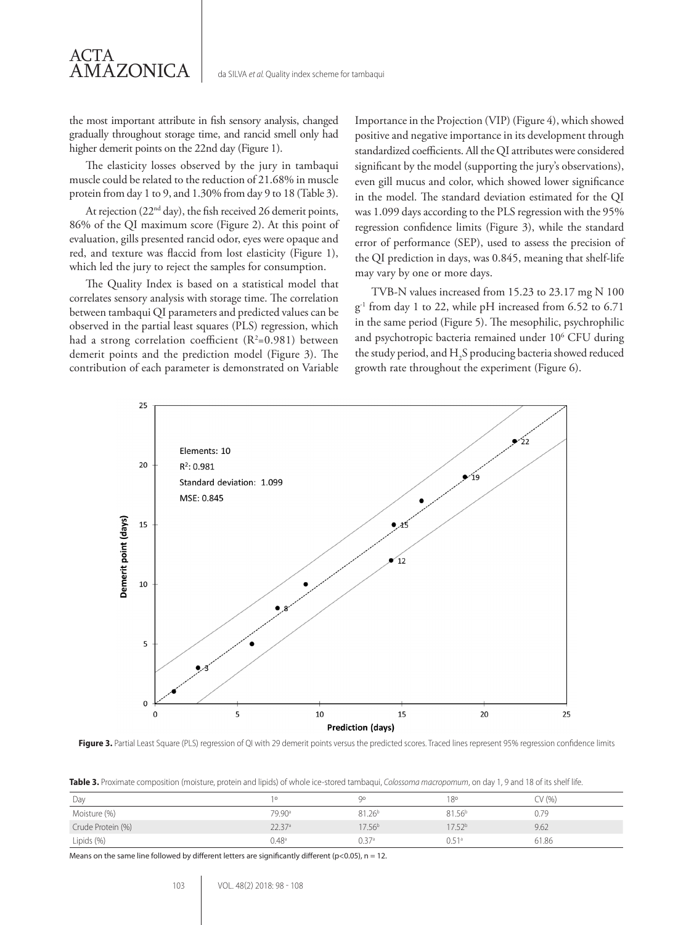the most important attribute in fish sensory analysis, changed gradually throughout storage time, and rancid smell only had higher demerit points on the 22nd day (Figure 1).

The elasticity losses observed by the jury in tambaqui muscle could be related to the reduction of 21.68% in muscle protein from day 1 to 9, and 1.30% from day 9 to 18 (Table 3).

At rejection (22<sup>nd</sup> day), the fish received 26 demerit points, 86% of the QI maximum score (Figure 2). At this point of evaluation, gills presented rancid odor, eyes were opaque and red, and texture was flaccid from lost elasticity (Figure 1), which led the jury to reject the samples for consumption.

The Quality Index is based on a statistical model that correlates sensory analysis with storage time. The correlation between tambaqui QI parameters and predicted values can be observed in the partial least squares (PLS) regression, which had a strong correlation coefficient  $(R^2=0.981)$  between demerit points and the prediction model (Figure 3). The contribution of each parameter is demonstrated on Variable

Importance in the Projection (VIP) (Figure 4), which showed positive and negative importance in its development through standardized coefficients. All the QI attributes were considered significant by the model (supporting the jury's observations), even gill mucus and color, which showed lower significance in the model. The standard deviation estimated for the QI was 1.099 days according to the PLS regression with the 95% regression confidence limits (Figure 3), while the standard error of performance (SEP), used to assess the precision of the QI prediction in days, was 0.845, meaning that shelf-life may vary by one or more days.

TVB-N values increased from 15.23 to 23.17 mg N 100 g-1 from day 1 to 22, while pH increased from 6.52 to 6.71 in the same period (Figure 5). The mesophilic, psychrophilic and psychotropic bacteria remained under 10<sup>6</sup> CFU during the study period, and  $H_2S$  producing bacteria showed reduced growth rate throughout the experiment (Figure 6).



**Figure 3.** Partial Least Square (PLS) regression of QI with 29 demerit points versus the predicted scores. Traced lines represent 95% regression confidence limits

**Table 3.** Proximate composition (moisture, protein and lipids) of whole ice-stored tambaqui, *Colossoma macropomum*, on day 1, 9 and 18 of its shelf life.

| Day               |                    | Ωa                 | 18°                | $\gamma$ (%) |
|-------------------|--------------------|--------------------|--------------------|--------------|
| Moisture (%)      | 79.90 <sup>a</sup> | 81.26 <sup>b</sup> | 81.56 <sup>b</sup> | 0.79         |
| Crude Protein (%) | 22.37 <sup>a</sup> | $17.56^{b}$        | $17.52^{b}$        | 9.62         |
| Lipids (%)        | 0.48 <sup>a</sup>  | 0.37 <sup>a</sup>  | 0.51 <sup>a</sup>  | 61.86        |

Means on the same line followed by different letters are significantly different ( $p$ <0.05), n = 12.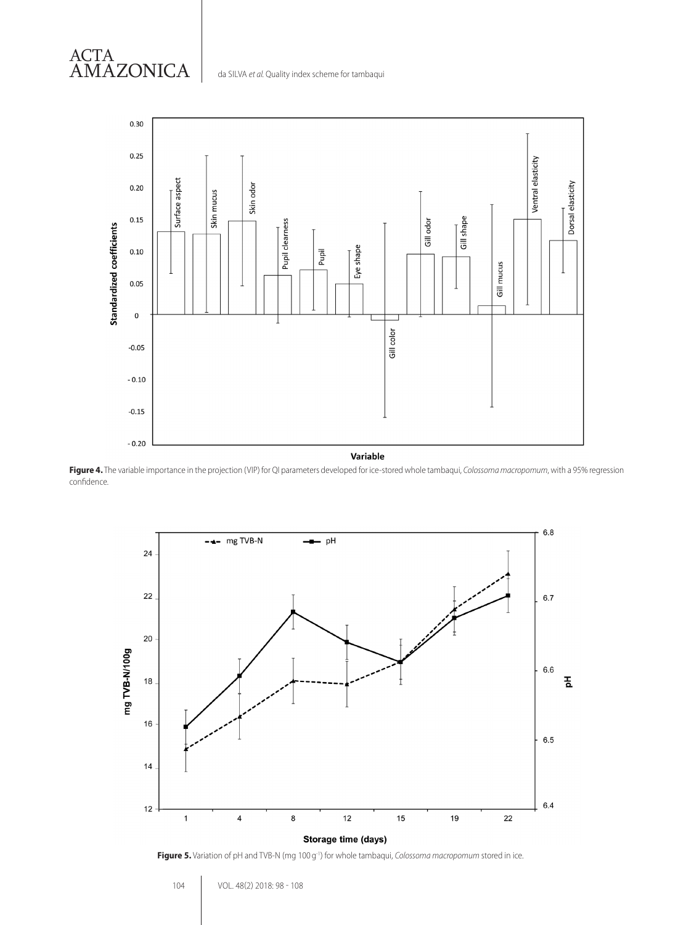



Variable

**Figure 4.** The variable importance in the projection (VIP) for QI parameters developed for ice-stored whole tambaqui, *Colossoma macropomum*, with a 95% regression confidence.



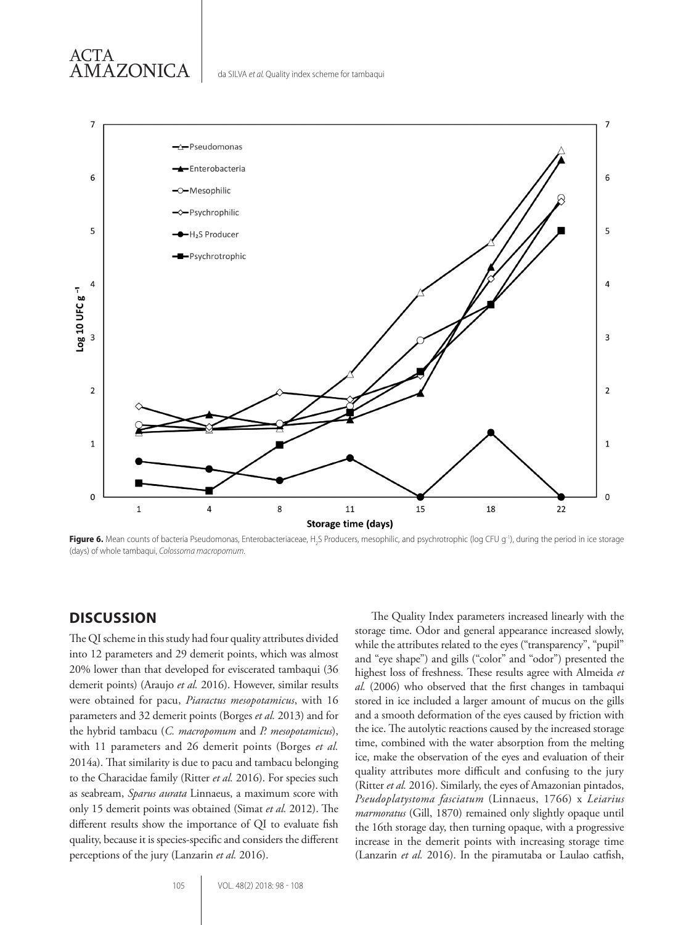



**Figure 6.** Mean counts of bacteria Pseudomonas, Enterobacteriaceae, H2 S Producers, mesophilic, and psychrotrophic (log CFU g-1), during the period in ice storage (days) of whole tambaqui, *Colossoma macropomum*.

#### **DISCUSSION**

The QI scheme in this study had four quality attributes divided into 12 parameters and 29 demerit points, which was almost 20% lower than that developed for eviscerated tambaqui (36 demerit points) (Araujo *et al.* 2016). However, similar results were obtained for pacu, *Piaractus mesopotamicus*, with 16 parameters and 32 demerit points (Borges *et al.* 2013) and for the hybrid tambacu (*C. macropomum* and *P. mesopotamicus*), with 11 parameters and 26 demerit points (Borges *et al.* 2014a). That similarity is due to pacu and tambacu belonging to the Characidae family (Ritter *et al.* 2016). For species such as seabream, *Sparus aurata* Linnaeus, a maximum score with only 15 demerit points was obtained (Simat *et al.* 2012). The different results show the importance of QI to evaluate fish quality, because it is species-specific and considers the different perceptions of the jury (Lanzarin *et al.* 2016).

The Quality Index parameters increased linearly with the storage time. Odor and general appearance increased slowly, while the attributes related to the eyes ("transparency", "pupil" and "eye shape") and gills ("color" and "odor") presented the highest loss of freshness. These results agree with Almeida *et al.* (2006) who observed that the first changes in tambaqui stored in ice included a larger amount of mucus on the gills and a smooth deformation of the eyes caused by friction with the ice. The autolytic reactions caused by the increased storage time, combined with the water absorption from the melting ice, make the observation of the eyes and evaluation of their quality attributes more difficult and confusing to the jury (Ritter *et al.* 2016). Similarly, the eyes of Amazonian pintados, *Pseudoplatystoma fasciatum* (Linnaeus, 1766) x *Leiarius marmoratus* (Gill, 1870) remained only slightly opaque until the 16th storage day, then turning opaque, with a progressive increase in the demerit points with increasing storage time (Lanzarin *et al.* 2016). In the piramutaba or Laulao catfish,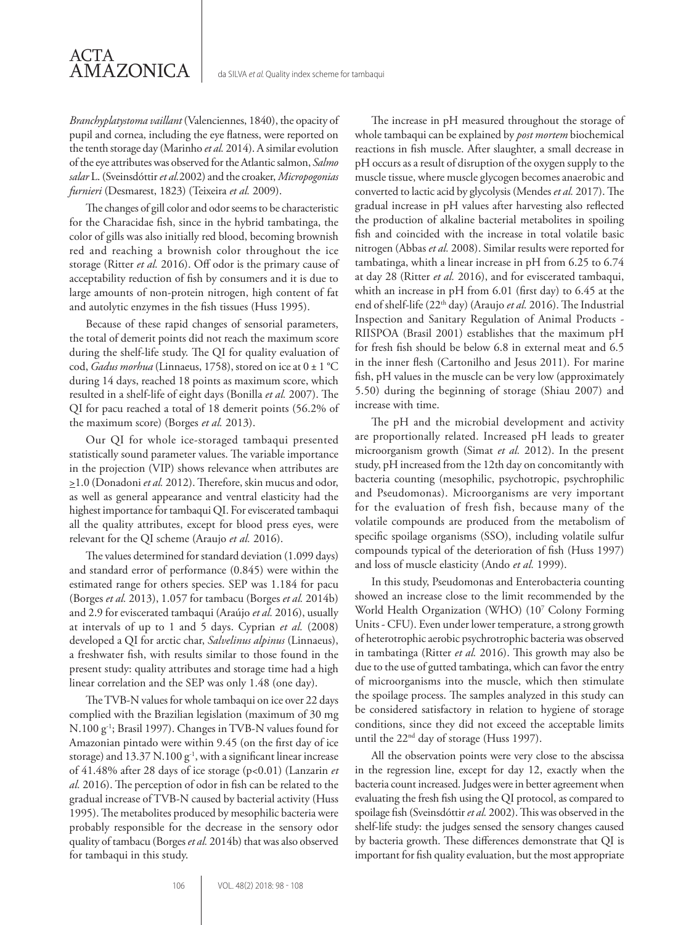da SILVA *et al.* Quality index scheme for tambaqui

*Branchyplatystoma vaillant* (Valenciennes, 1840), the opacity of pupil and cornea, including the eye flatness, were reported on the tenth storage day (Marinho *et al.* 2014). A similar evolution of the eye attributes was observed for the Atlantic salmon, *Salmo salar* L. (Sveinsdóttir *et al.*2002) and the croaker, *Micropogonias furnieri* (Desmarest, 1823) (Teixeira *et al.* 2009).

The changes of gill color and odor seems to be characteristic for the Characidae fish, since in the hybrid tambatinga, the color of gills was also initially red blood, becoming brownish red and reaching a brownish color throughout the ice storage (Ritter *et al.* 2016). Off odor is the primary cause of acceptability reduction of fish by consumers and it is due to large amounts of non-protein nitrogen, high content of fat and autolytic enzymes in the fish tissues (Huss 1995).

Because of these rapid changes of sensorial parameters, the total of demerit points did not reach the maximum score during the shelf-life study. The QI for quality evaluation of cod, *Gadus morhua* (Linnaeus, 1758), stored on ice at 0 ± 1 °C during 14 days, reached 18 points as maximum score, which resulted in a shelf-life of eight days (Bonilla *et al.* 2007). The QI for pacu reached a total of 18 demerit points (56.2% of the maximum score) (Borges *et al.* 2013).

Our QI for whole ice-storaged tambaqui presented statistically sound parameter values. The variable importance in the projection (VIP) shows relevance when attributes are >1.0 (Donadoni *et al.* 2012). Therefore, skin mucus and odor, as well as general appearance and ventral elasticity had the highest importance for tambaqui QI. For eviscerated tambaqui all the quality attributes, except for blood press eyes, were relevant for the QI scheme (Araujo *et al.* 2016).

The values determined for standard deviation (1.099 days) and standard error of performance (0.845) were within the estimated range for others species. SEP was 1.184 for pacu (Borges *et al.* 2013), 1.057 for tambacu (Borges *et al.* 2014b) and 2.9 for eviscerated tambaqui (Araújo *et al.* 2016), usually at intervals of up to 1 and 5 days. Cyprian *et al.* (2008) developed a QI for arctic char, *Salvelinus alpinus* (Linnaeus), a freshwater fish, with results similar to those found in the present study: quality attributes and storage time had a high linear correlation and the SEP was only 1.48 (one day).

The TVB-N values for whole tambaqui on ice over 22 days complied with the Brazilian legislation (maximum of 30 mg N.100 g-1; Brasil 1997). Changes in TVB-N values found for Amazonian pintado were within 9.45 (on the first day of ice storage) and 13.37 N.100 g<sup>-1</sup>, with a significant linear increase of 41.48% after 28 days of ice storage (p<0.01) (Lanzarin *et al.* 2016). The perception of odor in fish can be related to the gradual increase of TVB-N caused by bacterial activity (Huss 1995). The metabolites produced by mesophilic bacteria were probably responsible for the decrease in the sensory odor quality of tambacu (Borges *et al.* 2014b) that was also observed for tambaqui in this study.

The increase in pH measured throughout the storage of whole tambaqui can be explained by *post mortem* biochemical reactions in fish muscle. After slaughter, a small decrease in pH occurs as a result of disruption of the oxygen supply to the muscle tissue, where muscle glycogen becomes anaerobic and converted to lactic acid by glycolysis (Mendes *et al.* 2017). The gradual increase in pH values after harvesting also reflected the production of alkaline bacterial metabolites in spoiling fish and coincided with the increase in total volatile basic nitrogen (Abbas *et al.* 2008). Similar results were reported for tambatinga, whith a linear increase in pH from 6.25 to 6.74 at day 28 (Ritter *et al.* 2016), and for eviscerated tambaqui, whith an increase in pH from 6.01 (first day) to 6.45 at the end of shelf-life (22<sup>th</sup> day) (Araujo et al. 2016). The Industrial Inspection and Sanitary Regulation of Animal Products - RIISPOA (Brasil 2001) establishes that the maximum pH for fresh fish should be below 6.8 in external meat and 6.5 in the inner flesh (Cartonilho and Jesus 2011). For marine fish, pH values in the muscle can be very low (approximately 5.50) during the beginning of storage (Shiau 2007) and increase with time.

The pH and the microbial development and activity are proportionally related. Increased pH leads to greater microorganism growth (Simat *et al.* 2012). In the present study, pH increased from the 12th day on concomitantly with bacteria counting (mesophilic, psychotropic, psychrophilic and Pseudomonas). Microorganisms are very important for the evaluation of fresh fish, because many of the volatile compounds are produced from the metabolism of specific spoilage organisms (SSO), including volatile sulfur compounds typical of the deterioration of fish (Huss 1997) and loss of muscle elasticity (Ando *et al.* 1999).

In this study, Pseudomonas and Enterobacteria counting showed an increase close to the limit recommended by the World Health Organization (WHO) (107 Colony Forming Units - CFU). Even under lower temperature, a strong growth of heterotrophic aerobic psychrotrophic bacteria was observed in tambatinga (Ritter *et al.* 2016). This growth may also be due to the use of gutted tambatinga, which can favor the entry of microorganisms into the muscle, which then stimulate the spoilage process. The samples analyzed in this study can be considered satisfactory in relation to hygiene of storage conditions, since they did not exceed the acceptable limits until the 22<sup>nd</sup> day of storage (Huss 1997).

All the observation points were very close to the abscissa in the regression line, except for day 12, exactly when the bacteria count increased. Judges were in better agreement when evaluating the fresh fish using the QI protocol, as compared to spoilage fish (Sveinsdóttir *et al.* 2002). This was observed in the shelf-life study: the judges sensed the sensory changes caused by bacteria growth. These differences demonstrate that QI is important for fish quality evaluation, but the most appropriate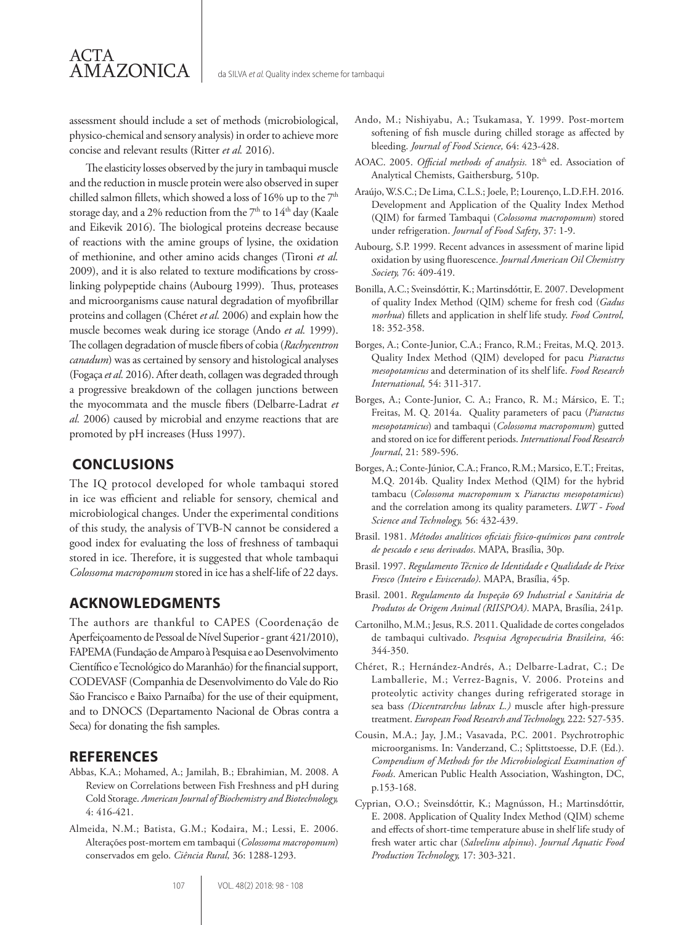assessment should include a set of methods (microbiological, physico-chemical and sensory analysis) in order to achieve more concise and relevant results (Ritter *et al.* 2016).

The elasticity losses observed by the jury in tambaqui muscle and the reduction in muscle protein were also observed in super chilled salmon fillets, which showed a loss of 16% up to the  $7<sup>th</sup>$ storage day, and a 2% reduction from the  $7<sup>th</sup>$  to  $14<sup>th</sup>$  day (Kaale and Eikevik 2016). The biological proteins decrease because of reactions with the amine groups of lysine, the oxidation of methionine, and other amino acids changes (Tironi *et al.* 2009), and it is also related to texture modifications by crosslinking polypeptide chains (Aubourg 1999). Thus, proteases and microorganisms cause natural degradation of myofibrillar proteins and collagen (Chéret *et al.* 2006) and explain how the muscle becomes weak during ice storage (Ando *et al.* 1999). The collagen degradation of muscle fibers of cobia (*Rachycentron canadum*) was as certained by sensory and histological analyses (Fogaça *et al.* 2016). After death, collagen was degraded through a progressive breakdown of the collagen junctions between the myocommata and the muscle fibers (Delbarre-Ladrat *et al.* 2006) caused by microbial and enzyme reactions that are promoted by pH increases (Huss 1997).

#### **CONCLUSIONS**

The IQ protocol developed for whole tambaqui stored in ice was efficient and reliable for sensory, chemical and microbiological changes. Under the experimental conditions of this study, the analysis of TVB-N cannot be considered a good index for evaluating the loss of freshness of tambaqui stored in ice. Therefore, it is suggested that whole tambaqui *Colossoma macropomum* stored in ice has a shelf-life of 22 days.

#### **ACKNOWLEDGMENTS**

The authors are thankful to CAPES (Coordenação de Aperfeiçoamento de Pessoal de Nível Superior - grant 421/2010), FAPEMA (Fundação de Amparo à Pesquisa e ao Desenvolvimento Científico e Tecnológico do Maranhão) for the financial support, CODEVASF (Companhia de Desenvolvimento do Vale do Rio São Francisco e Baixo Parnaíba) for the use of their equipment, and to DNOCS (Departamento Nacional de Obras contra a Seca) for donating the fish samples.

#### **REFERENCES**

- Abbas, K.A.; Mohamed, A.; Jamilah, B.; Ebrahimian, M. 2008. A Review on Correlations between Fish Freshness and pH during Cold Storage. *American Journal of Biochemistry and Biotechnology,* 4: 416-421.
- Almeida, N.M.; Batista, G.M.; Kodaira, M.; Lessi, E. 2006. Alterações post-mortem em tambaqui (*Colossoma macropomum*) conservados em gelo. *Ciência Rural,* 36: 1288-1293.
- Ando, M.; Nishiyabu, A.; Tsukamasa, Y. 1999. Post-mortem softening of fish muscle during chilled storage as affected by bleeding. *Journal of Food Science,* 64: 423-428.
- AOAC. 2005. *Official methods of analysis*. 18<sup>th</sup> ed. Association of Analytical Chemists, Gaithersburg, 510p.
- Araújo, W.S.C.; De Lima, C.L.S.; Joele, P.; Lourenço, L.D.F.H. 2016. Development and Application of the Quality Index Method (QIM) for farmed Tambaqui (*Colossoma macropomum*) stored under refrigeration. *Journal of Food Safety*, 37: 1-9.
- Aubourg, S.P. 1999. Recent advances in assessment of marine lipid oxidation by using fluorescence. *Journal American Oil Chemistry Society,* 76: 409-419.
- Bonilla, A.C.; Sveinsdóttir, K.; Martinsdóttir, E. 2007. Development of quality Index Method (QIM) scheme for fresh cod (*Gadus morhua*) fillets and application in shelf life study. *Food Control,* 18: 352-358.
- Borges, A.; Conte-Junior, C.A.; Franco, R.M.; Freitas, M.Q. 2013. Quality Index Method (QIM) developed for pacu *Piaractus mesopotamicus* and determination of its shelf life. *Food Research International,* 54: 311-317.
- Borges, A.; Conte-Junior, C. A.; Franco, R. M.; Mársico, E. T.; Freitas, M. Q. 2014a. Quality parameters of pacu (*Piaractus mesopotamicus*) and tambaqui (*Colossoma macropomum*) gutted and stored on ice for different periods. *International Food Research Journal*, 21: 589-596.
- Borges, A.; Conte-Júnior, C.A.; Franco, R.M.; Marsico, E.T.; Freitas, M.Q. 2014b. Quality Index Method (QIM) for the hybrid tambacu (*Colossoma macropomum* x *Piaractus mesopotamicus*) and the correlation among its quality parameters. *LWT - Food Science and Technology,* 56: 432-439.
- Brasil. 1981. *Métodos analíticos oficiais físico-químicos para controle de pescado e seus derivados*. MAPA, Brasília, 30p.
- Brasil. 1997. *Regulamento Técnico de Identidade e Qualidade de Peixe Fresco (Inteiro e Eviscerado)*. MAPA, Brasília, 45p.
- Brasil. 2001. *Regulamento da Inspeção 69 Industrial e Sanitária de Produtos de Origem Animal (RIISPOA)*. MAPA, Brasília, 241p.
- Cartonilho, M.M.; Jesus, R.S. 2011. Qualidade de cortes congelados de tambaqui cultivado. *Pesquisa Agropecuária Brasileira,* 46: 344-350.
- Chéret, R.; Hernández-Andrés, A.; Delbarre-Ladrat, C.; De Lamballerie, M.; Verrez-Bagnis, V. 2006. Proteins and proteolytic activity changes during refrigerated storage in sea bass *(Dicentrarchus labrax L.)* muscle after high-pressure treatment. *European Food Research and Technology,* 222: 527-535.
- Cousin, M.A.; Jay, J.M.; Vasavada, P.C. 2001. Psychrotrophic microorganisms. In: Vanderzand, C.; Splittstoesse, D.F. (Ed.). *Compendium of Methods for the Microbiological Examination of Foods*. American Public Health Association, Washington, DC, p.153-168.
- Cyprian, O.O.; Sveinsdóttir, K.; Magnússon, H.; Martinsdóttir, E. 2008. Application of Quality Index Method (QIM) scheme and effects of short-time temperature abuse in shelf life study of fresh water artic char (*Salvelinu alpinus*). *Journal Aquatic Food Production Technology,* 17: 303-321.